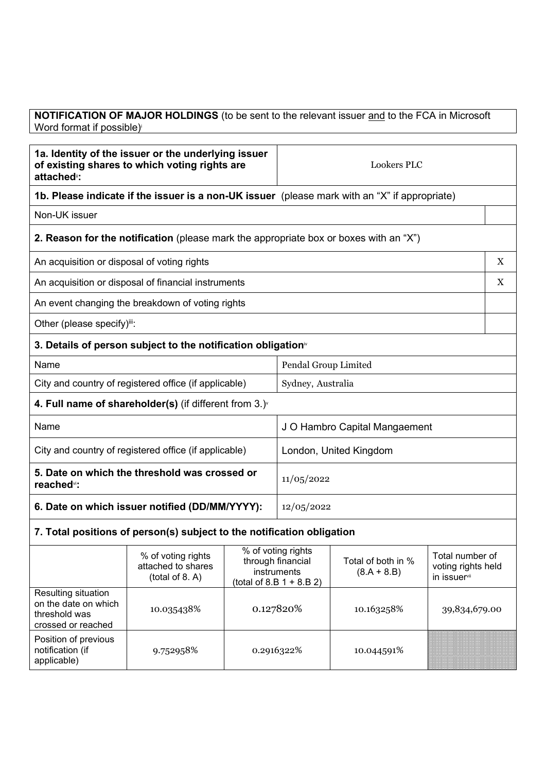## **NOTIFICATION OF MAJOR HOLDINGS** (to be sent to the relevant issuer and to the FCA in Microsoft Word format if possible)

| 1a. Identity of the issuer or the underlying issuer<br>of existing shares to which voting rights are<br>attached <sup>®</sup> : |                                                                                              | <b>Lookers PLC</b> |                                                                                       |                                                                                              |               |   |
|---------------------------------------------------------------------------------------------------------------------------------|----------------------------------------------------------------------------------------------|--------------------|---------------------------------------------------------------------------------------|----------------------------------------------------------------------------------------------|---------------|---|
| 1b. Please indicate if the issuer is a non-UK issuer (please mark with an "X" if appropriate)                                   |                                                                                              |                    |                                                                                       |                                                                                              |               |   |
| Non-UK issuer                                                                                                                   |                                                                                              |                    |                                                                                       |                                                                                              |               |   |
|                                                                                                                                 | <b>2. Reason for the notification</b> (please mark the appropriate box or boxes with an "X") |                    |                                                                                       |                                                                                              |               |   |
| An acquisition or disposal of voting rights                                                                                     |                                                                                              |                    |                                                                                       |                                                                                              |               | X |
|                                                                                                                                 | An acquisition or disposal of financial instruments                                          |                    |                                                                                       |                                                                                              |               | X |
|                                                                                                                                 | An event changing the breakdown of voting rights                                             |                    |                                                                                       |                                                                                              |               |   |
| Other (please specify)iii:                                                                                                      |                                                                                              |                    |                                                                                       |                                                                                              |               |   |
|                                                                                                                                 | 3. Details of person subject to the notification obligation <sup>®</sup>                     |                    |                                                                                       |                                                                                              |               |   |
| Name                                                                                                                            |                                                                                              |                    | Pendal Group Limited                                                                  |                                                                                              |               |   |
|                                                                                                                                 | City and country of registered office (if applicable)                                        |                    | Sydney, Australia                                                                     |                                                                                              |               |   |
|                                                                                                                                 | 4. Full name of shareholder(s) (if different from $3.$ ) $\check{ }$                         |                    |                                                                                       |                                                                                              |               |   |
| Name                                                                                                                            |                                                                                              |                    | J O Hambro Capital Mangaement                                                         |                                                                                              |               |   |
| City and country of registered office (if applicable)                                                                           |                                                                                              |                    | London, United Kingdom                                                                |                                                                                              |               |   |
| 5. Date on which the threshold was crossed or<br>reached <sup>vi</sup> :                                                        |                                                                                              |                    | 11/05/2022                                                                            |                                                                                              |               |   |
| 6. Date on which issuer notified (DD/MM/YYYY):                                                                                  |                                                                                              |                    | 12/05/2022                                                                            |                                                                                              |               |   |
| 7. Total positions of person(s) subject to the notification obligation                                                          |                                                                                              |                    |                                                                                       |                                                                                              |               |   |
|                                                                                                                                 | % of voting rights<br>attached to shares<br>(total of 8. A)                                  |                    | % of voting rights<br>through financial<br>instruments<br>(total of 8.B $1 + 8.B 2$ ) | Total number of<br>Total of both in %<br>voting rights held<br>$(8.A + 8.B)$<br>in issuervii |               |   |
| Resulting situation<br>on the date on which<br>threshold was<br>crossed or reached                                              | 10.035438%                                                                                   | 0.127820%          |                                                                                       | 10.163258%                                                                                   | 39,834,679.00 |   |
| Position of previous<br>notification (if<br>applicable)                                                                         | 9.752958%                                                                                    |                    | 0.2916322%                                                                            | 10.044591%                                                                                   |               |   |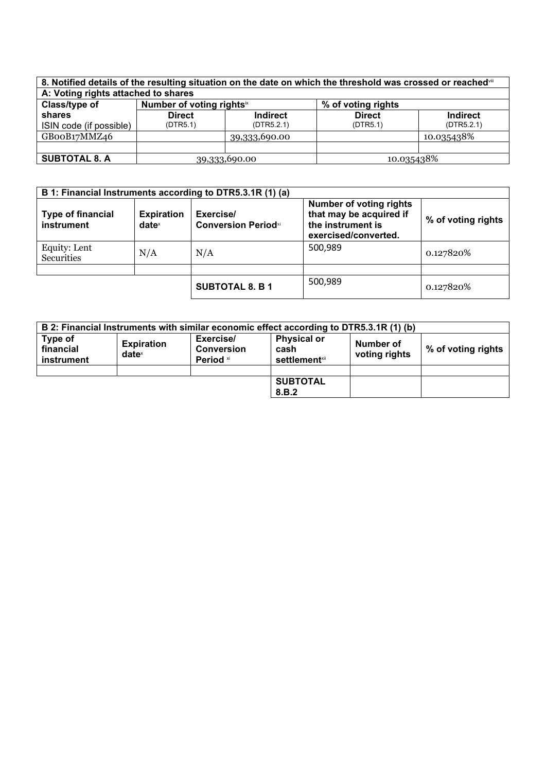| 8. Notified details of the resulting situation on the date on which the threshold was crossed or reached in |                                       |                 |                    |                 |
|-------------------------------------------------------------------------------------------------------------|---------------------------------------|-----------------|--------------------|-----------------|
| A: Voting rights attached to shares                                                                         |                                       |                 |                    |                 |
| Class/type of                                                                                               | Number of voting rights <sup>ix</sup> |                 | % of voting rights |                 |
| shares                                                                                                      | <b>Direct</b>                         | <b>Indirect</b> | <b>Direct</b>      | <b>Indirect</b> |
| ISIN code (if possible)                                                                                     | (DTR5.1)                              | (DTR5.2.1)      | (DTR5.1)           | (DTR5.2.1)      |
| GBooB17MMZ46                                                                                                |                                       | 39,333,690.00   |                    | 10.035438%      |
|                                                                                                             |                                       |                 |                    |                 |
| <b>SUBTOTAL 8. A</b>                                                                                        | 39,333,690.00                         |                 | 10.035438%         |                 |

| B 1: Financial Instruments according to DTR5.3.1R (1) (a) |                                      |                                         |                                                                                                        |                    |
|-----------------------------------------------------------|--------------------------------------|-----------------------------------------|--------------------------------------------------------------------------------------------------------|--------------------|
| <b>Type of financial</b><br>instrument                    | <b>Expiration</b><br>$date^{\times}$ | Exercise/<br><b>Conversion Periodxi</b> | <b>Number of voting rights</b><br>that may be acquired if<br>the instrument is<br>exercised/converted. | % of voting rights |
| Equity: Lent<br><b>Securities</b>                         | N/A                                  | N/A                                     | 500,989                                                                                                | 0.127820%          |
|                                                           |                                      |                                         |                                                                                                        |                    |
|                                                           |                                      | <b>SUBTOTAL 8. B 1</b>                  | 500,989                                                                                                | 0.127820%          |

|                                    |                                      |                                             | B 2: Financial Instruments with similar economic effect according to DTR5.3.1R (1) (b) |                            |                    |
|------------------------------------|--------------------------------------|---------------------------------------------|----------------------------------------------------------------------------------------|----------------------------|--------------------|
| Type of<br>financial<br>instrument | <b>Expiration</b><br>$date^{\times}$ | Exercise/<br><b>Conversion</b><br>Period xi | <b>Physical or</b><br>cash<br><b>settlement</b> xii                                    | Number of<br>voting rights | % of voting rights |
|                                    |                                      |                                             |                                                                                        |                            |                    |
|                                    |                                      |                                             | <b>SUBTOTAL</b><br>8.B.2                                                               |                            |                    |